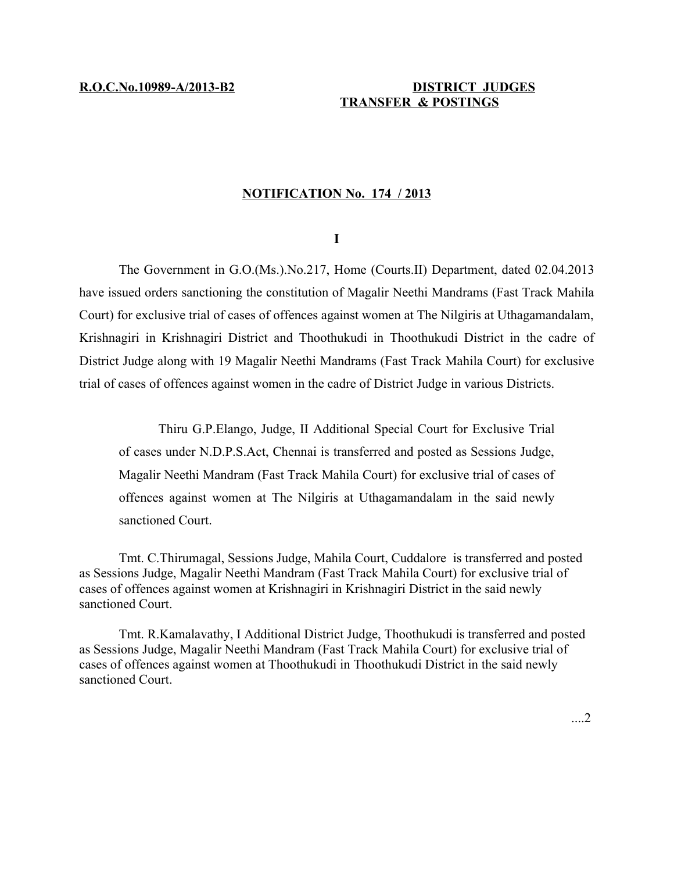## **R.O.C.No.10989-A/2013-B2 DISTRICT JUDGES TRANSFER & POSTINGS**

## **NOTIFICATION No. 174 / 2013**

## **I**

The Government in G.O.(Ms.).No.217, Home (Courts.II) Department, dated 02.04.2013 have issued orders sanctioning the constitution of Magalir Neethi Mandrams (Fast Track Mahila Court) for exclusive trial of cases of offences against women at The Nilgiris at Uthagamandalam, Krishnagiri in Krishnagiri District and Thoothukudi in Thoothukudi District in the cadre of District Judge along with 19 Magalir Neethi Mandrams (Fast Track Mahila Court) for exclusive trial of cases of offences against women in the cadre of District Judge in various Districts.

Thiru G.P.Elango, Judge, II Additional Special Court for Exclusive Trial of cases under N.D.P.S.Act, Chennai is transferred and posted as Sessions Judge, Magalir Neethi Mandram (Fast Track Mahila Court) for exclusive trial of cases of offences against women at The Nilgiris at Uthagamandalam in the said newly sanctioned Court.

Tmt. C.Thirumagal, Sessions Judge, Mahila Court, Cuddalore is transferred and posted as Sessions Judge, Magalir Neethi Mandram (Fast Track Mahila Court) for exclusive trial of cases of offences against women at Krishnagiri in Krishnagiri District in the said newly sanctioned Court.

Tmt. R.Kamalavathy, I Additional District Judge, Thoothukudi is transferred and posted as Sessions Judge, Magalir Neethi Mandram (Fast Track Mahila Court) for exclusive trial of cases of offences against women at Thoothukudi in Thoothukudi District in the said newly sanctioned Court.